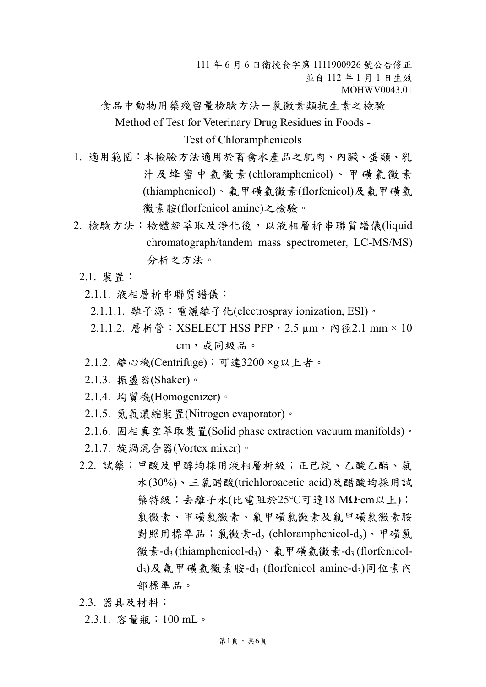111 年 6 月 6 日衛授食字第 1111900926 號公告修正 並自 112 年 1 月 1 日生效 MOHWV0043.01

食品中動物用藥殘留量檢驗方法-氯黴素類抗生素之檢驗 Method of Test for Veterinary Drug Residues in Foods -

Test of Chloramphenicols

- 1. 適用範圍:本檢驗方法適用於畜禽水產品之肌肉、內臟、蛋類、乳 汁及蜂蜜中氯黴素(chloramphenicol)、甲磺氯黴素 (thiamphenicol)、氟甲磺氯黴素(florfenicol)及氟甲磺氯 黴素胺(florfenicol amine)之檢驗。
- 2. 檢驗方法:檢體經萃取及淨化後,以液相層析串聯質譜儀(liquid chromatograph/tandem mass spectrometer, LC-MS/MS) 分析之方法。
	- 2.1. 裝置:
		- 2.1.1. 液相層析串聯質譜儀:
		- 2.1.1.1. 離子源:電灑離子化(electrospray ionization, ESI)。
		- 2.1.1.2. 層析管: XSELECT HSS PFP, 2.5 μm, 內徑2.1 mm × 10 cm,或同級品。
		- 2.1.2. 離心機(Centrifuge):可達3200 ×g以上者。
		- 2.1.3. 振盪器(Shaker)。
		- 2.1.4. 均質機(Homogenizer)。
		- 2.1.5. 氮氣濃縮裝置(Nitrogen evaporator)。
		- 2.1.6. 固相真空萃取裝置(Solid phase extraction vacuum manifolds)。
	- 2.1.7. 旋渦混合器(Vortex mixer)。
	- 2.2. 試藥:甲酸及甲醇均採用液相層析級;正己烷、乙酸乙酯、氨 水(30%)、三氯醋酸(trichloroacetic acid)及醋酸均採用試 藥特級;去離子水(比電阻於25℃可達18 MΩ‧cm以上); 氯黴素、甲磺氯黴素及氟甲磺氯黴素胺 對照用標準品;氯黴素-d<sub>5</sub> (chloramphenicol-d<sub>5</sub>)、甲磺氯 徽素-d<sub>3</sub> (thiamphenicol-d<sub>3</sub>)、氟甲磺氯黴素-d<sub>3</sub> (florfenicold3)及氟甲磺氯黴素胺-d<sup>3</sup> (florfenicol amine-d3)同位素內 部標準品。
	- 2.3. 器具及材料:
	- 2.3.1. 容量瓶:100 mL。

第1頁,共6頁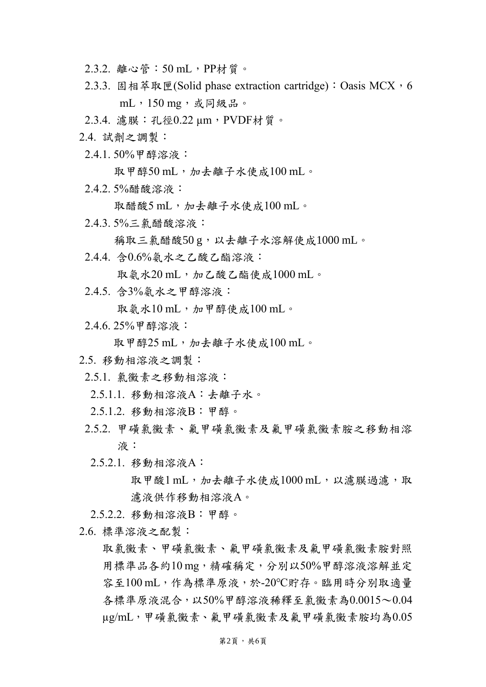- 2.3.2. 離心管:50 mL,PP材質。
- 2.3.3. 固相萃取匣(Solid phase extraction cartridge): Oasis MCX, 6 mL,150 mg,或同級品。
- 2.3.4. 濾膜:孔徑0.22 µm,PVDF材質。
- 2.4. 試劑之調製:
- 2.4.1. 50%甲醇溶液:

取甲醇50 mL,加去離子水使成100 mL。

2.4.2. 5%醋酸溶液:

取醋酸5 mL,加去離子水使成100 mL。

2.4.3. 5%三氯醋酸溶液:

稱取三氯醋酸50g,以去離子水溶解使成1000 mL。

2.4.4. 含0.6%氨水之乙酸乙酯溶液:

取氨水 $20 \text{ mL}$ ,加乙酸乙酯使成 $1000 \text{ mL}$ 。

2.4.5. 含3%氨水之甲醇溶液:

取氨水 $10 \text{ mL}$ ,加甲醇使成 $100 \text{ mL}$ 。

2.4.6. 25%甲醇溶液:

取甲醇25 mL,加去離子水使成 $100$  mL。

- 2.5. 移動相溶液之調製:
- 2.5.1. 氯黴素之移動相溶液:
	- 2.5.1.1. 移動相溶液A:去離子水。
- 2.5.1.2. 移動相溶液B:甲醇。
- 2.5.2. 甲磺氯黴素、氟甲磺氯黴素及氟甲磺氯黴素胺之移動相溶 液:
	- 2.5.2.1. 移動相溶液A:

取甲酸1 mL, 加去離子水使成1000 mL, 以濾膜過濾, 取 濾液供作移動相溶液A。

- 2.5.2.2. 移動相溶液B:甲醇。
- 2.6. 標準溶液之配製:

取氯黴素、甲磺氯黴素及氟甲磺氯黴素胺對照 用標準品各約10 mg, 精確稱定,分別以50%甲醇溶液溶解並定 容至100 mL,作為標準原液,於-20℃貯存。臨用時分別取適量 各標準原液混合,以50%甲醇溶液稀釋至氯黴素為0.0015~0.04 µg/mL,甲磺氯黴素、氟甲磺氯黴素及氟甲磺氯黴素胺均為0.05

## 第2頁,共6頁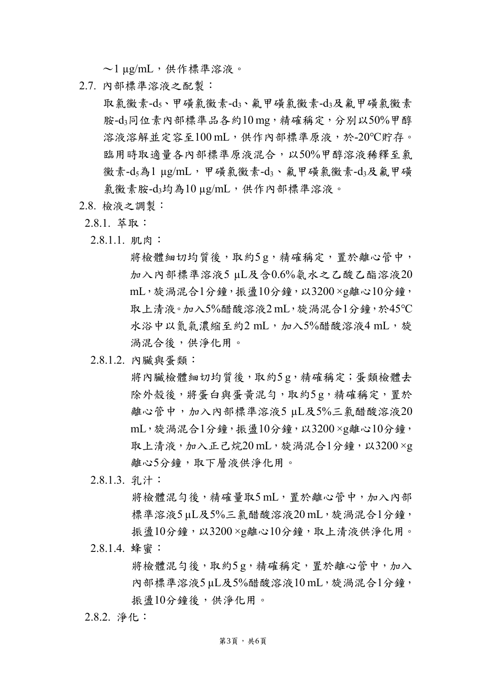$\sim$  1 µg/mL, 供作標準溶液。

2.7. 內部標準溶液之配製:

取氯黴素-ds、甲磺氯黴素-d3、氟甲磺氯黴素-d3及氟甲磺氯黴素 胺-d3同位素內部標準品各約10 mg, 精確稱定, 分別以50%甲醇 溶液溶解並定容至100 mL,供作內部標準原液,於-20℃貯存。 臨用時取適量各內部標準原液混合,以50%甲醇溶液稀釋至氯 黴素-d<sub>5</sub>為1 μg/mL,甲磺氯黴素-d3、氟甲磺氯黴素-d3及氟甲磺 氯黴素胺-d3均為10 µg/mL,供作內部標準溶液。

- 2.8. 檢液之調製:
- 2.8.1. 萃取:
- 2.8.1.1. 肌肉:

將檢體細切均質後,取約5g,精確稱定,置於離心管中, 加入內部標準溶液5 µL及含0.6%氨水之乙酸乙酯溶液20 mL, 旋渦混合1分鐘, 振盪10分鐘, 以3200×g離心10分鐘, 取上清液。加入5%醋酸溶液2 mL, 旋渦混合1分鐘, 於45℃ 水浴中以氮氣濃縮至約2 mL,加入5%醋酸溶液4 mL,旋 渦混合後,供淨化用。

2.8.1.2. 內臟與蛋類:

將內臟檢體細切均質後,取約5g,精確稱定;蛋類檢體去 除外殼後,將蛋白與蛋黃混勻,取約5g,精確稱定,置於 離心管中,加入內部標準溶液5 µL及5%三氯醋酸溶液20 mL, 旋渦混合1分鐘, 振盪10分鐘, 以3200×g離心10分鐘, 取上清液,加入正己烷20 mL,旋渦混合1分鐘,以3200 ×g 離心5分鐘,取下層液供淨化用。

2.8.1.3. 乳汁:

將檢體混勻後,精確量取5mL, 置於離心管中, 加入內部 標準溶液5 uL及5%三氯醋酸溶液20 mL, 旋渦混合1分鐘, 振盪10分鐘,以3200×g離心10分鐘,取上清液供淨化用。 2.8.1.4. 蜂蜜:

> 將檢體混勻後, 取約5g, 精確稱定, 置於離心管中, 加入 內部標準溶液5 µL及5%醋酸溶液10 mL,旋渦混合1分鐘, 振盪10分鐘後,供淨化用。

2.8.2. 淨化: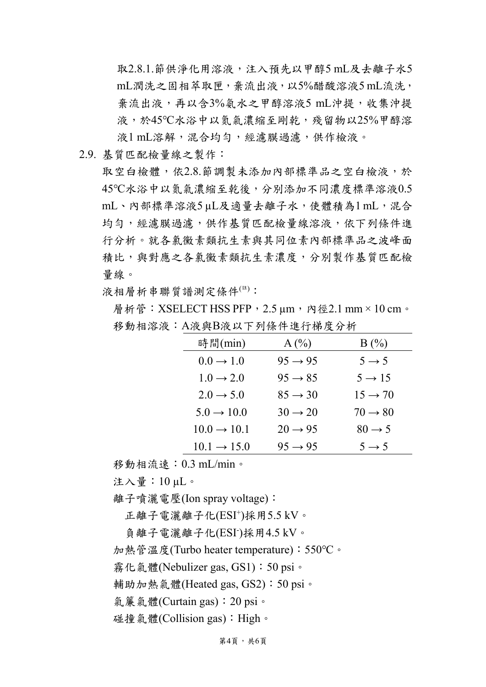取2.8.1.節供淨化用溶液,注入預先以甲醇5 mL及去離子水5 mL潤洗之固相萃取匣,棄流出液,以5%醋酸溶液5 mL流洗, 棄流出液,再以含3%氨水之甲醇溶液5 mL沖提,收集沖提 液,於45℃水浴中以氮氣濃縮至剛乾,殘留物以25%甲醇溶 液1 mL溶解,混合均勻,經濾膜過濾,供作檢液。

2.9. 基質匹配檢量線之製作:

取空白檢體,依2.8.節調製未添加內部標準品之空白檢液,於 45℃水浴中以氮氣濃縮至乾後,分別添加不同濃度標準溶液0.5 mL、內部標準溶液5 µL及適量去離子水,使體積為1 mL,混合 均勻,經濾膜過濾,供作基質匹配檢量線溶液,依下列條件進 行分析。就各氯黴素類抗生素與其同位素內部標準品之波峰面 積比,與對應之各氯黴素類抗生素濃度,分別製作基質匹配檢 量線。

液相層析串聯質譜測定條件(註):

層析管: XSELECT HSS PFP, 2.5 μm, 內徑2.1 mm × 10 cm。 移動相溶液:A液與B液以下列條件進行梯度分析

| 時間(min)                 | A(%)                | B(%)                |
|-------------------------|---------------------|---------------------|
| $0.0 \rightarrow 1.0$   | $95 \rightarrow 95$ | $5 \rightarrow 5$   |
| $1.0 \rightarrow 2.0$   | $95 \rightarrow 85$ | $5 \rightarrow 15$  |
| $2.0 \rightarrow 5.0$   | $85 \rightarrow 30$ | $15 \rightarrow 70$ |
| $5.0 \rightarrow 10.0$  | $30 \rightarrow 20$ | $70 \rightarrow 80$ |
| $10.0 \rightarrow 10.1$ | $20 \rightarrow 95$ | $80 \rightarrow 5$  |
| $10.1 \rightarrow 15.0$ | $95 \rightarrow 95$ | $5 \rightarrow 5$   |

移動相流速:0.3 mL/min。

注入量:10 µL。

離子噴灑電壓(Ion spray voltage):

正離子電灑離子化(ESI<sup>+</sup> )採用5.5 kV。

負離子電灑離子化(ESI)採用4.5 kV。

加熱管溫度(Turbo heater temperature):550℃。

霧化氣體(Nebulizer gas, GS1):50 psi。

輔助加熱氣體(Heated gas, GS2):50 psi。

氣簾氣體(Curtain gas):20 psi。

碰撞氣體(Collision gas):High。

第4頁,共6頁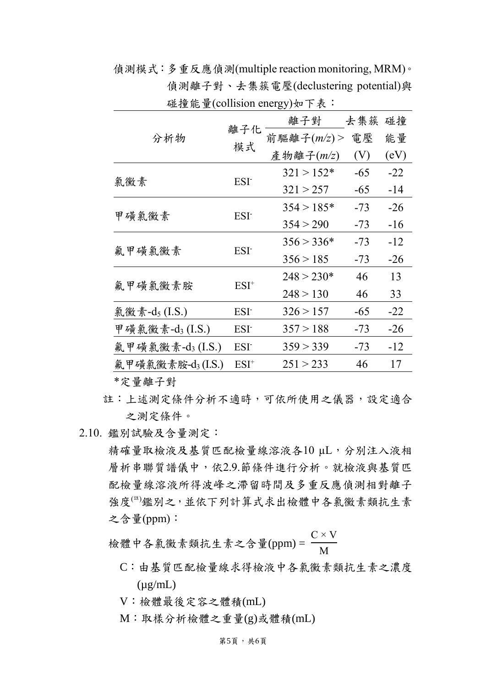分析物 離子化 模式 離子對 去集簇 碰撞 前驅離子(m/z) > 電壓 (V) 能量  $(eV)$ 產物離子(*m/z*) 氯黴素 ESI- $321 > 152*$  $321 > 257$ -65 -65 -14 -22 甲磺氯黴素 ESI- $354 > 185*$  $354 > 290$ -73 -73 -26 -16 氟甲磺氯黴素 ESI- $356 > 336*$  $356 > 185$ -73 -73 -12 -26 氟甲磺氯黴素胺 ESI<sup>+</sup>  $248 > 230*$  $248 > 130$ 46 46 13 33 氣黴素-d<sub>5</sub> (I.S.) ESI<sup>-</sup> 326 > 157 -65 -22 甲磺氯黴素-d<sub>3</sub> (I.S.) ESI 357 > 188 -73 -26 氟甲磺氯黴素-d<sub>3</sub> (I.S.) ESI 359 > 339 -73 -12 氟甲磺氯黴素胺-d<sub>3</sub>(I.S.) ESI<sup>+</sup> 251 > 233 46 17

偵測模式:多重反應偵測(multiple reaction monitoring, MRM)。 偵測離子對、去集簇電壓(declustering potential)與 碰撞能量(collision energy)如下表:

\*定量離子對

- 註:上述測定條件分析不適時,可依所使用之儀器,設定適合 之測定條件。
- 2.10. 鑑別試驗及含量測定:

精確量取檢液及基質匹配檢量線溶液各10 µL,分別注入液相 層析串聯質譜儀中,依2.9.節條件進行分析。就檢液與基質匹 配檢量線溶液所得波峰之滯留時間及多重反應偵測相對離子 強度(#)鑑別之,並依下列計算式求出檢體中各氯黴素類抗生素 之含量(ppm):

檢體中各氯黴素類抗生素之含量(ppm) =  $C \times V$ M

- C:由基質匹配檢量線求得檢液中各氯黴素類抗生素之濃度  $(\mu$ g/mL)
- V:檢體最後定容之體積(mL)
- M:取樣分析檢體之重量(g)或體積(mL)

## 第5頁,共6頁